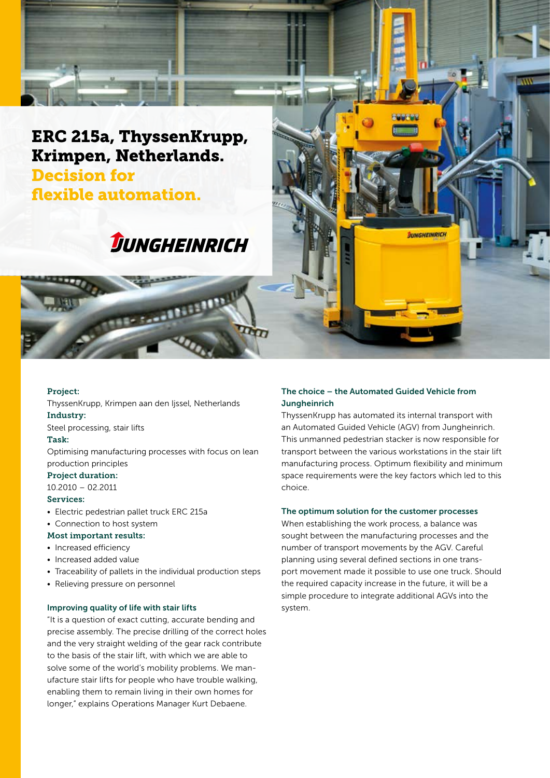

## ERC 215a, ThyssenKrupp, Krimpen, Netherlands. Decision for flexible automation.

# **JUNGHEINRICH**

**The Conditions** 

#### Project:

ThyssenKrupp, Krimpen aan den Ijssel, Netherlands Industry:

Steel processing, stair lifts

#### Task:

Optimising manufacturing processes with focus on lean production principles

#### Project duration:

10.2010 – 02.2011

#### Services:

- Electric pedestrian pallet truck ERC 215a
- Connection to host system

#### Most important results:

- Increased efficiency
- Increased added value
- Traceability of pallets in the individual production steps
- Relieving pressure on personnel

#### Improving quality of life with stair lifts

"It is a question of exact cutting, accurate bending and precise assembly. The precise drilling of the correct holes and the very straight welding of the gear rack contribute to the basis of the stair lift, with which we are able to solve some of the world's mobility problems. We manufacture stair lifts for people who have trouble walking, enabling them to remain living in their own homes for longer," explains Operations Manager Kurt Debaene.

#### The choice – the Automated Guided Vehicle from **Jungheinrich**

ThyssenKrupp has automated its internal transport with an Automated Guided Vehicle (AGV) from Jungheinrich. This unmanned pedestrian stacker is now responsible for transport between the various workstations in the stair lift manufacturing process. Optimum flexibility and minimum space requirements were the key factors which led to this choice.

**JUNGHEINRICH** 

#### The optimum solution for the customer processes

When establishing the work process, a balance was sought between the manufacturing processes and the number of transport movements by the AGV. Careful planning using several defined sections in one transport movement made it possible to use one truck. Should the required capacity increase in the future, it will be a simple procedure to integrate additional AGVs into the system.